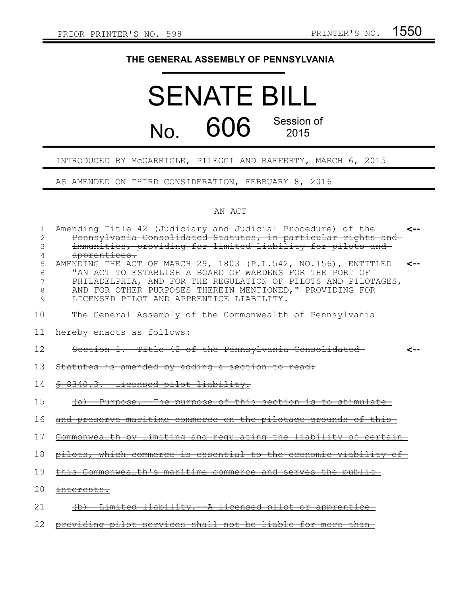## **THE GENERAL ASSEMBLY OF PENNSYLVANIA**

## SENATE BILL No. 606 Session of 2015

## INTRODUCED BY McGARRIGLE, PILEGGI AND RAFFERTY, MARCH 6, 2015

AS AMENDED ON THIRD CONSIDERATION, FEBRUARY 8, 2016

## AN ACT

| $\mathbf{1}$               | Amending Title 42 (Judiciary and Judicial Procedure) of the-<br><--                                                                                                                                                                                                                                                        |  |
|----------------------------|----------------------------------------------------------------------------------------------------------------------------------------------------------------------------------------------------------------------------------------------------------------------------------------------------------------------------|--|
| 2                          | Pennsylvania Consolidated Statutes, in particular rights and                                                                                                                                                                                                                                                               |  |
| 3                          | immunities, providing for limited liability for pilots and                                                                                                                                                                                                                                                                 |  |
| 4<br>5<br>6<br>7<br>8<br>9 | apprentices.<br>AMENDING THE ACT OF MARCH 29, 1803 (P.L.542, NO.156), ENTITLED<br><--<br>"AN ACT TO ESTABLISH A BOARD OF WARDENS FOR THE PORT OF<br>PHILADELPHIA, AND FOR THE REGULATION OF PILOTS AND PILOTAGES,<br>AND FOR OTHER PURPOSES THEREIN MENTIONED, " PROVIDING FOR<br>LICENSED PILOT AND APPRENTICE LIABILITY. |  |
| 10                         | The General Assembly of the Commonwealth of Pennsylvania                                                                                                                                                                                                                                                                   |  |
| 11                         | hereby enacts as follows:                                                                                                                                                                                                                                                                                                  |  |
| 12                         | Section 1. Title 42 of the Pennsylvania Consolidated                                                                                                                                                                                                                                                                       |  |
| 13                         | Statutes is amended by adding a section to read:                                                                                                                                                                                                                                                                           |  |
| 14                         | § 8340.3. Licensed pilot liability.                                                                                                                                                                                                                                                                                        |  |
| 1.5                        | (a) Purpose. The purpose of this section is to stimulate                                                                                                                                                                                                                                                                   |  |
| 16                         | and preserve maritime commerce on the pilotage grounds of this                                                                                                                                                                                                                                                             |  |
| 17                         | Commonwealth by limiting and requlating the liability of certain                                                                                                                                                                                                                                                           |  |
| 18                         | pilots, which commerce is essential to the economic viability of-                                                                                                                                                                                                                                                          |  |
| 19                         | this Commonwealth's maritime commerce and serves the public-                                                                                                                                                                                                                                                               |  |
| 20                         | interests.                                                                                                                                                                                                                                                                                                                 |  |
| 21                         | (b) Limited liability. - A licensed pilot or apprentice                                                                                                                                                                                                                                                                    |  |
| 22                         | providing pilot services shall not be liable for more than                                                                                                                                                                                                                                                                 |  |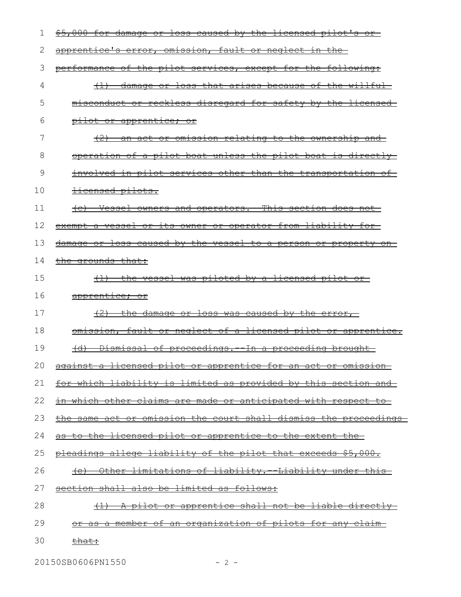| 1  | \$5,000 for damage or loss caused by the licensed pilot's or-         |
|----|-----------------------------------------------------------------------|
| 2  | apprentice's error, omission, fault or neglect in the-                |
| 3  | performance of the pilot services, except for the following:          |
| 4  | (1) damage or loss that arises because of the willful-                |
| 5  | <u>misconduct or reckless disregard for safety by the licensed-</u>   |
| 6  | <del>pilot or apprentice; or</del>                                    |
| 7  | an act or omission relating to the ownership and<br><del>(2)</del>    |
| 8  | operation of a pilot boat unless the pilot boat is directly           |
| 9  | <u>involved in pilot services other than the transportation of </u>   |
| 10 | <del>licensed pilots.</del>                                           |
| 11 | (c) Vessel owners and operators. - This section does not-             |
| 12 | exempt a vessel or its owner or operator from liability for-          |
| 13 | damage or loss caused by the vessel to a person or property on        |
| 14 | the grounds that:                                                     |
| 15 | (1) the vessel was piloted by a licensed pilot or                     |
|    |                                                                       |
| 16 | apprentice; or                                                        |
| 17 | <u>(2) the damage or loss was caused by the error, </u>               |
| 18 | omission, fault or neglect of a licensed pilot or apprentice.         |
| 19 | Dismissal of proceedings. -- In a proceeding brought                  |
| 20 | against a licensed pilot or apprentice for an act or omission         |
| 21 | <u>for which liability is limited as provided by this section and</u> |
| 22 | <u>in which other claims are made or anticipated with respect to</u>  |
| 23 | the same act or omission the court shall dismiss the proceedings      |
| 24 | as to the licensed pilot or apprentice to the extent the              |
| 25 | pleadings allege liability of the pilot that exceeds \$5,000.         |
| 26 | (e) Other limitations of liability. - Liability under this            |
| 27 | section shall also be limited as follows:                             |
| 28 | (1) A pilot or apprentice shall not be liable directly                |
| 29 | <u>or as a member of an organization of pilots for any claim-</u>     |

20150SB0606PN1550 - 2 -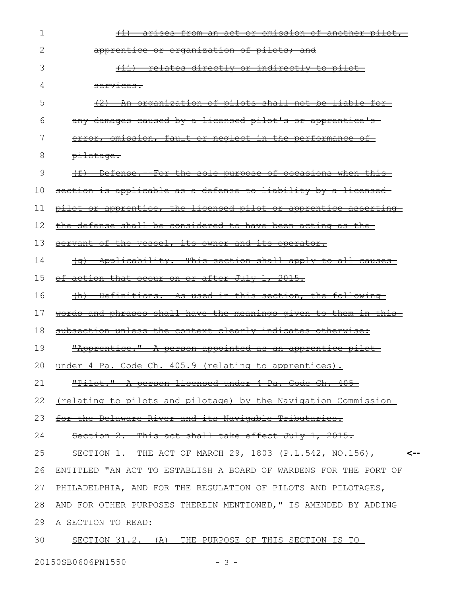| 1  | <u>arises from an act or omission of another pilot, </u>               |
|----|------------------------------------------------------------------------|
| 2  | <u>apprentice or organization of pilots; and</u>                       |
| 3  | (ii) relates directly or indirectly to pilot-                          |
| 4  | services.                                                              |
| 5  | (2) An organization of pilots shall not be liable for                  |
| 6  | any damages caused by a licensed pilot's or apprentice's               |
| 7  | error, omission, fault or neglect in the performance of                |
| 8  | pilotage.                                                              |
| 9  | (f) Defense. For the sole purpose of occasions when this               |
| 10 | section is applicable as a defense to liability by a licensed          |
| 11 | pilot or apprentice, the licensed pilot or apprentice asserting        |
| 12 | the defense shall be considered to have been acting as the             |
| 13 | servant of the vessel, its owner and its operator.                     |
| 14 | (g) Applicability. This section shall apply to all causes              |
| 15 | <u>of action that occur on or after July 1, 2015.</u>                  |
| 16 | (h) Definitions. As used in this section, the following                |
| 17 | words and phrases shall have the meanings given to them in this        |
| 18 | subsection unless the context clearly indicates otherwise:             |
| 19 | "Apprentice." A person appointed as an apprentice pilot-               |
|    | 20 under 4 Pa. Code Ch. 405.9 (relating to apprentices).               |
| 21 | "Pilot." A person licensed under 4 Pa. Code Ch. 405-                   |
| 22 | <u>(relating to pilots and pilotage) by the Navigation Commission-</u> |
| 23 | for the Delaware River and its Navigable Tributaries.                  |
| 24 | Section 2. This act shall take effect July 1, 2015.                    |
| 25 | SECTION 1. THE ACT OF MARCH 29, 1803 (P.L.542, NO.156),<br><--         |
| 26 | ENTITLED "AN ACT TO ESTABLISH A BOARD OF WARDENS FOR THE PORT OF       |
| 27 | PHILADELPHIA, AND FOR THE REGULATION OF PILOTS AND PILOTAGES,          |
| 28 | AND FOR OTHER PURPOSES THEREIN MENTIONED, " IS AMENDED BY ADDING       |
| 29 | A SECTION TO READ:                                                     |
| 30 | SECTION 31.2. (A) THE PURPOSE OF THIS SECTION IS TO                    |

20150SB0606PN1550 - 3 -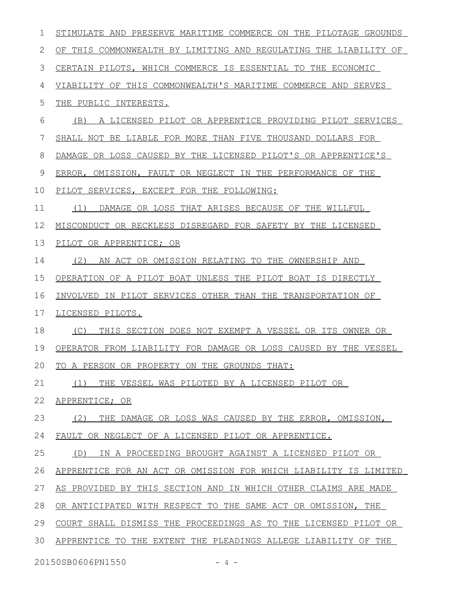| 1  | STIMULATE AND PRESERVE MARITIME COMMERCE ON THE PILOTAGE GROUNDS |
|----|------------------------------------------------------------------|
| 2  | OF THIS COMMONWEALTH BY LIMITING AND REGULATING THE LIABILITY OF |
| 3  | CERTAIN PILOTS, WHICH COMMERCE IS ESSENTIAL TO THE ECONOMIC      |
| 4  | VIABILITY OF THIS COMMONWEALTH'S MARITIME COMMERCE AND SERVES    |
| 5  | THE PUBLIC INTERESTS.                                            |
| 6  | A LICENSED PILOT OR APPRENTICE PROVIDING PILOT SERVICES<br>(B)   |
| 7  | SHALL NOT BE LIABLE FOR MORE THAN FIVE THOUSAND DOLLARS FOR      |
| 8  | DAMAGE OR LOSS CAUSED BY THE LICENSED PILOT'S OR APPRENTICE'S    |
| 9  | ERROR, OMISSION, FAULT OR NEGLECT IN THE PERFORMANCE OF THE      |
| 10 | PILOT SERVICES, EXCEPT FOR THE FOLLOWING:                        |
| 11 | DAMAGE OR LOSS THAT ARISES BECAUSE OF THE WILLFUL<br>(1)         |
| 12 | MISCONDUCT OR RECKLESS DISREGARD FOR SAFETY BY THE LICENSED      |
| 13 | PILOT OR APPRENTICE; OR                                          |
| 14 | (2)<br>AN ACT OR OMISSION RELATING TO THE OWNERSHIP AND          |
| 15 | OPERATION OF A PILOT BOAT UNLESS THE PILOT BOAT IS DIRECTLY      |
| 16 | INVOLVED IN PILOT SERVICES OTHER THAN THE TRANSPORTATION OF      |
| 17 | LICENSED PILOTS.                                                 |
| 18 | THIS SECTION DOES NOT EXEMPT A VESSEL OR ITS OWNER OR<br>(C)     |
| 19 | OPERATOR FROM LIABILITY FOR DAMAGE OR LOSS CAUSED BY THE VESSEL  |
| 20 | TO A PERSON OR PROPERTY ON THE GROUNDS THAT:                     |
| 21 | (1)<br>THE VESSEL WAS PILOTED BY A LICENSED PILOT OR             |
| 22 | APPRENTICE; OR                                                   |
| 23 | (2)<br>THE DAMAGE OR LOSS WAS CAUSED BY THE ERROR, OMISSION,     |
| 24 | FAULT OR NEGLECT OF A LICENSED PILOT OR APPRENTICE.              |
| 25 | IN A PROCEEDING BROUGHT AGAINST A LICENSED PILOT OR<br>(D)       |
| 26 | APPRENTICE FOR AN ACT OR OMISSION FOR WHICH LIABILITY IS LIMITED |
| 27 | AS PROVIDED BY THIS SECTION AND IN WHICH OTHER CLAIMS ARE MADE   |
| 28 | OR ANTICIPATED WITH RESPECT TO THE SAME ACT OR OMISSION, THE     |
| 29 | COURT SHALL DISMISS THE PROCEEDINGS AS TO THE LICENSED PILOT OR  |
| 30 | APPRENTICE TO THE EXTENT THE PLEADINGS ALLEGE LIABILITY OF THE   |
|    | 20150SB0606PN1550<br>$-4 -$                                      |